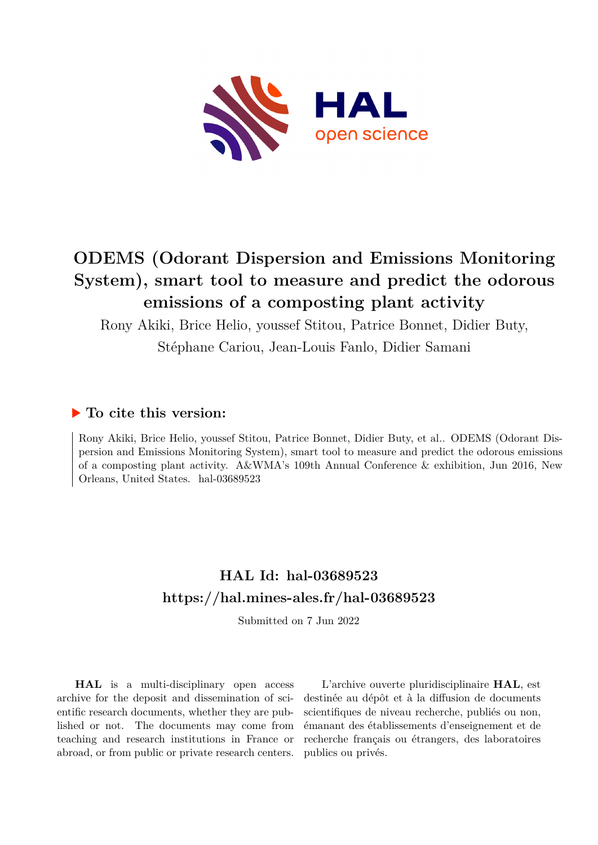

# **ODEMS (Odorant Dispersion and Emissions Monitoring System), smart tool to measure and predict the odorous emissions of a composting plant activity**

Rony Akiki, Brice Helio, youssef Stitou, Patrice Bonnet, Didier Buty,

Stéphane Cariou, Jean-Louis Fanlo, Didier Samani

#### **To cite this version:**

Rony Akiki, Brice Helio, youssef Stitou, Patrice Bonnet, Didier Buty, et al.. ODEMS (Odorant Dispersion and Emissions Monitoring System), smart tool to measure and predict the odorous emissions of a composting plant activity. A&WMA's 109th Annual Conference & exhibition, Jun 2016, New Orleans, United States. hal-03689523

### **HAL Id: hal-03689523 <https://hal.mines-ales.fr/hal-03689523>**

Submitted on 7 Jun 2022

**HAL** is a multi-disciplinary open access archive for the deposit and dissemination of scientific research documents, whether they are published or not. The documents may come from teaching and research institutions in France or abroad, or from public or private research centers.

L'archive ouverte pluridisciplinaire **HAL**, est destinée au dépôt et à la diffusion de documents scientifiques de niveau recherche, publiés ou non, émanant des établissements d'enseignement et de recherche français ou étrangers, des laboratoires publics ou privés.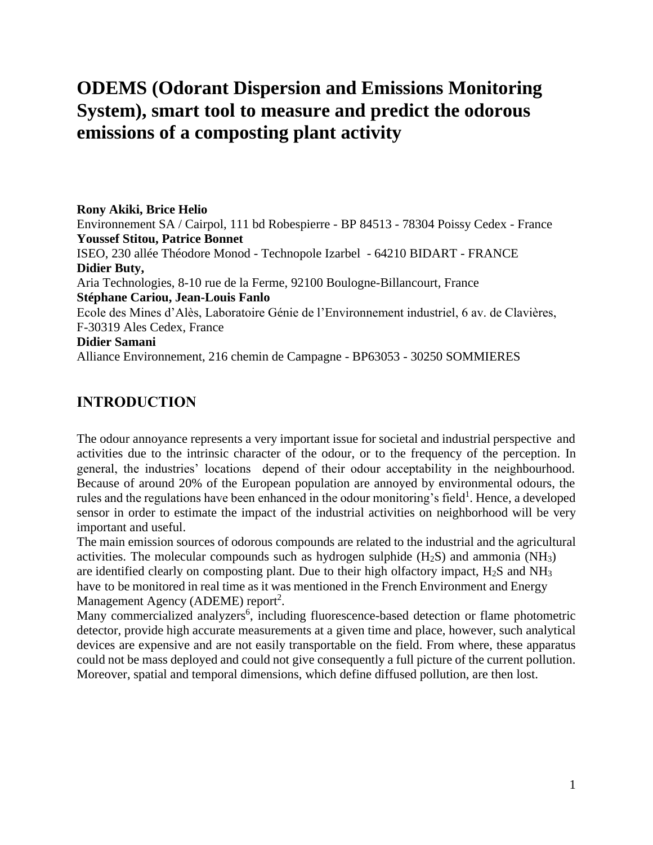## **ODEMS (Odorant Dispersion and Emissions Monitoring System), smart tool to measure and predict the odorous emissions of a composting plant activity**

**Rony Akiki, Brice Helio**  Environnement SA / Cairpol, 111 bd Robespierre - BP 84513 - 78304 Poissy Cedex - France **Youssef Stitou, Patrice Bonnet**  ISEO, 230 allée Théodore Monod - Technopole Izarbel - 64210 BIDART - FRANCE **Didier Buty,**  Aria Technologies, 8-10 rue de la Ferme, 92100 Boulogne-Billancourt, France **Stéphane Cariou, Jean-Louis Fanlo** Ecole des Mines d'Alès, Laboratoire Génie de l'Environnement industriel, 6 av. de Clavières, F-30319 Ales Cedex, France **Didier Samani**  Alliance Environnement, 216 chemin de Campagne - BP63053 - 30250 SOMMIERES

#### **INTRODUCTION**

The odour annoyance represents a very important issue for societal and industrial perspective and activities due to the intrinsic character of the odour, or to the frequency of the perception. In general, the industries' locations depend of their odour acceptability in the neighbourhood. Because of around 20% of the European population are annoyed by environmental odours, the rules and the regulations have been enhanced in the odour monitoring's field<sup>1</sup>. Hence, a developed sensor in order to estimate the impact of the industrial activities on neighborhood will be very important and useful.

The main emission sources of odorous compounds are related to the industrial and the agricultural activities. The molecular compounds such as hydrogen sulphide  $(H_2S)$  and ammonia  $(NH_3)$ are identified clearly on composting plant. Due to their high olfactory impact,  $H_2S$  and  $NH_3$ have to be monitored in real time as it was mentioned in the French Environment and Energy Management Agency (ADEME) report<sup>2</sup>.

Many commercialized analyzers<sup>6</sup>, including fluorescence-based detection or flame photometric detector, provide high accurate measurements at a given time and place, however, such analytical devices are expensive and are not easily transportable on the field. From where, these apparatus could not be mass deployed and could not give consequently a full picture of the current pollution. Moreover, spatial and temporal dimensions, which define diffused pollution, are then lost.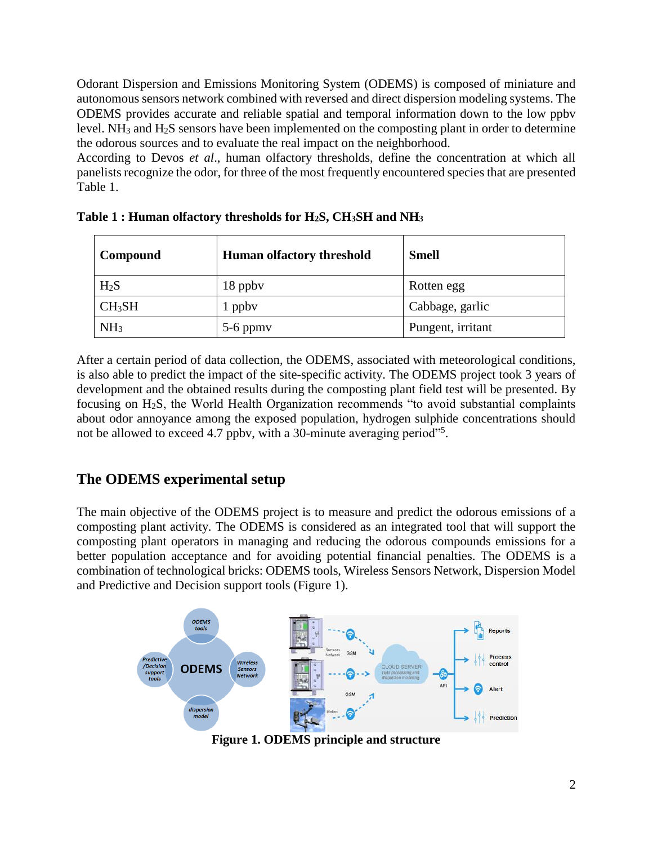Odorant Dispersion and Emissions Monitoring System (ODEMS) is composed of miniature and autonomous sensors network combined with reversed and direct dispersion modeling systems. The ODEMS provides accurate and reliable spatial and temporal information down to the low ppbv level.  $NH_3$  and  $H_2S$  sensors have been implemented on the composting plant in order to determine the odorous sources and to evaluate the real impact on the neighborhood.

According to Devos *et al*., human olfactory thresholds, define the concentration at which all panelists recognize the odor, for three of the most frequently encountered species that are presented [Table 1.](#page-2-0)

| Compound         | <b>Human olfactory threshold</b> | <b>Smell</b>      |
|------------------|----------------------------------|-------------------|
| H <sub>2</sub> S | 18 ppby                          | Rotten egg        |
| $CH_3SH$         | 1 ppby                           | Cabbage, garlic   |
| NH <sub>3</sub>  | $5-6$ ppm $v$                    | Pungent, irritant |

<span id="page-2-0"></span>**Table 1 : Human olfactory thresholds for H2S, CH3SH and NH<sup>3</sup>**

After a certain period of data collection, the ODEMS, associated with meteorological conditions, is also able to predict the impact of the site-specific activity. The ODEMS project took 3 years of development and the obtained results during the composting plant field test will be presented. By focusing on H2S, the World Health Organization recommends "to avoid substantial complaints about odor annoyance among the exposed population, hydrogen sulphide concentrations should not be allowed to exceed 4.7 ppbv, with a 30-minute averaging period"<sup>5</sup>.

### **The ODEMS experimental setup**

The main objective of the ODEMS project is to measure and predict the odorous emissions of a composting plant activity. The ODEMS is considered as an integrated tool that will support the composting plant operators in managing and reducing the odorous compounds emissions for a better population acceptance and for avoiding potential financial penalties. The ODEMS is a combination of technological bricks: ODEMS tools, Wireless Sensors Network, Dispersion Model and Predictive and Decision support tools (Figure 1).



**Figure 1. ODEMS principle and structure**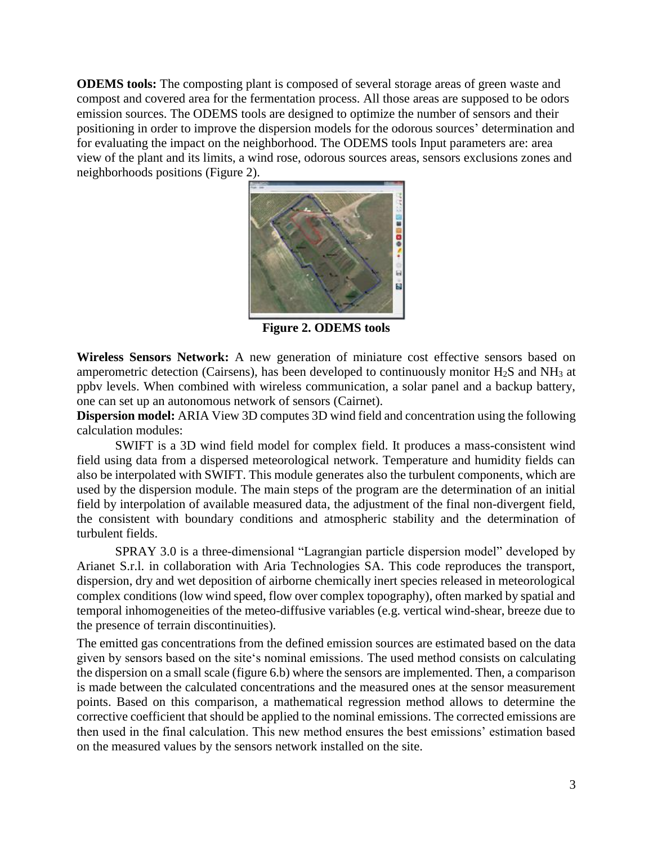**ODEMS tools:** The composting plant is composed of several storage areas of green waste and compost and covered area for the fermentation process. All those areas are supposed to be odors emission sources. The ODEMS tools are designed to optimize the number of sensors and their positioning in order to improve the dispersion models for the odorous sources' determination and for evaluating the impact on the neighborhood. The ODEMS tools Input parameters are: area view of the plant and its limits, a wind rose, odorous sources areas, sensors exclusions zones and neighborhoods positions (Figure 2).



**Figure 2. ODEMS tools** 

**Wireless Sensors Network:** A new generation of miniature cost effective sensors based on amperometric detection (Cairsens), has been developed to continuously monitor  $H_2S$  and  $NH_3$  at ppbv levels. When combined with wireless communication, a solar panel and a backup battery, one can set up an autonomous network of sensors (Cairnet).

**Dispersion model:** ARIA View 3D computes 3D wind field and concentration using the following calculation modules:

SWIFT is a 3D wind field model for complex field. It produces a mass-consistent wind field using data from a dispersed meteorological network. Temperature and humidity fields can also be interpolated with SWIFT. This module generates also the turbulent components, which are used by the dispersion module. The main steps of the program are the determination of an initial field by interpolation of available measured data, the adjustment of the final non-divergent field, the consistent with boundary conditions and atmospheric stability and the determination of turbulent fields.

SPRAY 3.0 is a three-dimensional "Lagrangian particle dispersion model" developed by Arianet S.r.l. in collaboration with Aria Technologies SA. This code reproduces the transport, dispersion, dry and wet deposition of airborne chemically inert species released in meteorological complex conditions (low wind speed, flow over complex topography), often marked by spatial and temporal inhomogeneities of the meteo-diffusive variables (e.g. vertical wind-shear, breeze due to the presence of terrain discontinuities).

The emitted gas concentrations from the defined emission sources are estimated based on the data given by sensors based on the site's nominal emissions. The used method consists on calculating the dispersion on a small scale (figure 6.b) where the sensors are implemented. Then, a comparison is made between the calculated concentrations and the measured ones at the sensor measurement points. Based on this comparison, a mathematical regression method allows to determine the corrective coefficient that should be applied to the nominal emissions. The corrected emissions are then used in the final calculation. This new method ensures the best emissions' estimation based on the measured values by the sensors network installed on the site.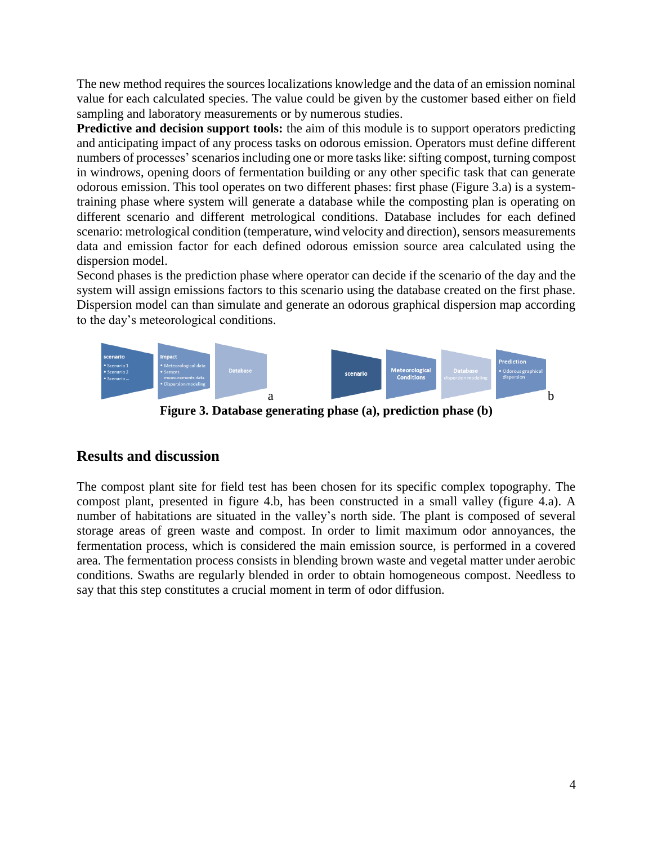The new method requires the sources localizations knowledge and the data of an emission nominal value for each calculated species. The value could be given by the customer based either on field sampling and laboratory measurements or by numerous studies.

**Predictive and decision support tools:** the aim of this module is to support operators predicting and anticipating impact of any process tasks on odorous emission. Operators must define different numbers of processes' scenarios including one or more tasks like: sifting compost, turning compost in windrows, opening doors of fermentation building or any other specific task that can generate odorous emission. This tool operates on two different phases: first phase (Figure 3.a) is a systemtraining phase where system will generate a database while the composting plan is operating on different scenario and different metrological conditions. Database includes for each defined scenario: metrological condition (temperature, wind velocity and direction), sensors measurements data and emission factor for each defined odorous emission source area calculated using the dispersion model.

Second phases is the prediction phase where operator can decide if the scenario of the day and the system will assign emissions factors to this scenario using the database created on the first phase. Dispersion model can than simulate and generate an odorous graphical dispersion map according to the day's meteorological conditions.



**Figure 3. Database generating phase (a), prediction phase (b)** 

### **Results and discussion**

The compost plant site for field test has been chosen for its specific complex topography. The compost plant, presented in figure 4.b, has been constructed in a small valley (figure 4.a). A number of habitations are situated in the valley's north side. The plant is composed of several storage areas of green waste and compost. In order to limit maximum odor annoyances, the fermentation process, which is considered the main emission source, is performed in a covered area. The fermentation process consists in blending brown waste and vegetal matter under aerobic conditions. Swaths are regularly blended in order to obtain homogeneous compost. Needless to say that this step constitutes a crucial moment in term of odor diffusion.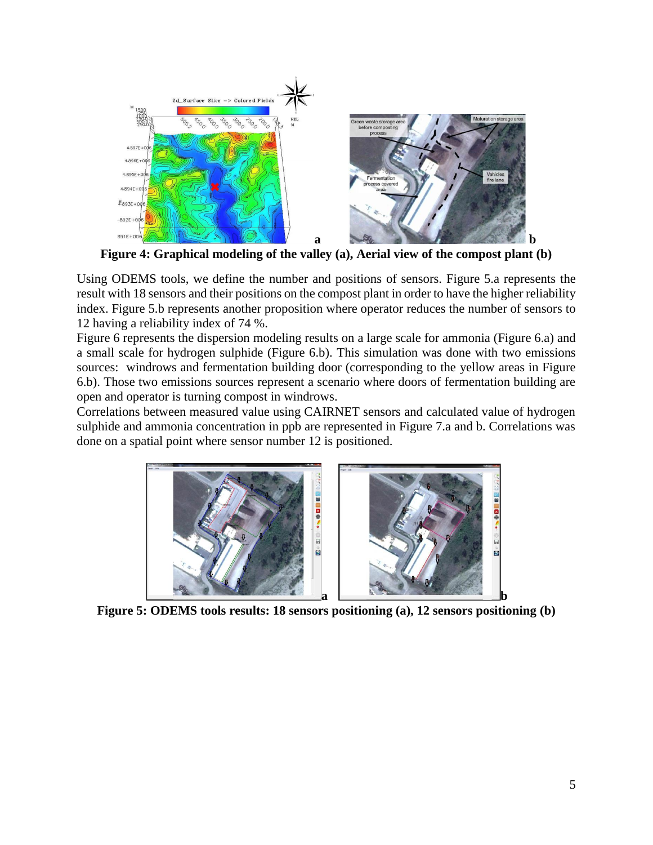

**Figure 4: Graphical modeling of the valley (a), Aerial view of the compost plant (b)** 

Using ODEMS tools, we define the number and positions of sensors. Figure 5.a represents the result with 18 sensors and their positions on the compost plant in order to have the higher reliability index. Figure 5.b represents another proposition where operator reduces the number of sensors to 12 having a reliability index of 74 %.

Figure 6 represents the dispersion modeling results on a large scale for ammonia (Figure 6.a) and a small scale for hydrogen sulphide (Figure 6.b). This simulation was done with two emissions sources: windrows and fermentation building door (corresponding to the yellow areas in Figure 6.b). Those two emissions sources represent a scenario where doors of fermentation building are open and operator is turning compost in windrows.

Correlations between measured value using CAIRNET sensors and calculated value of hydrogen sulphide and ammonia concentration in ppb are represented in Figure 7.a and b. Correlations was done on a spatial point where sensor number 12 is positioned.



**Figure 5: ODEMS tools results: 18 sensors positioning (a), 12 sensors positioning (b)**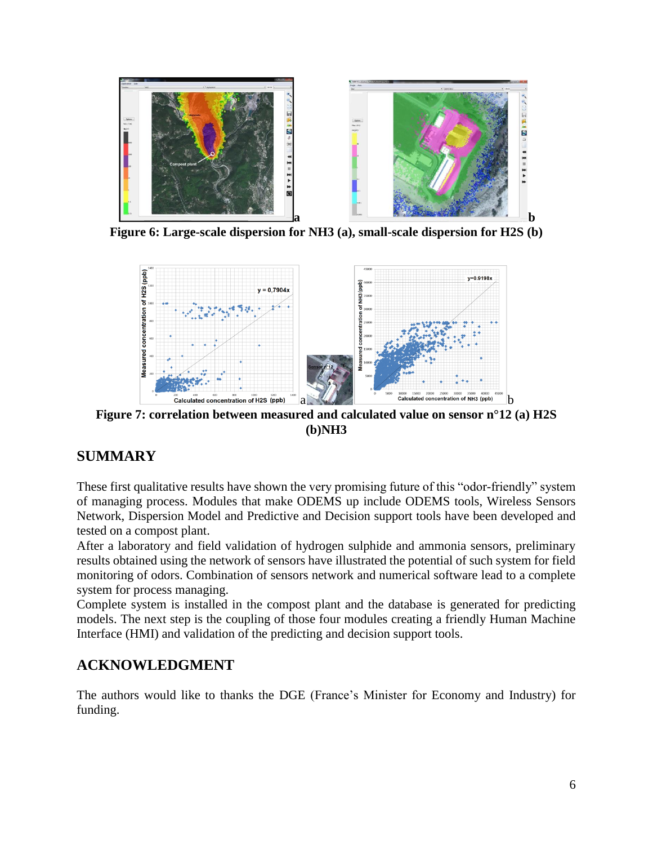

**Figure 6: Large-scale dispersion for NH3 (a), small-scale dispersion for H2S (b)** 



**Figure 7: correlation between measured and calculated value on sensor n°12 (a) H2S (b)NH3**

### **SUMMARY**

These first qualitative results have shown the very promising future of this "odor-friendly" system of managing process. Modules that make ODEMS up include ODEMS tools, Wireless Sensors Network, Dispersion Model and Predictive and Decision support tools have been developed and tested on a compost plant.

After a laboratory and field validation of hydrogen sulphide and ammonia sensors, preliminary results obtained using the network of sensors have illustrated the potential of such system for field monitoring of odors. Combination of sensors network and numerical software lead to a complete system for process managing.

Complete system is installed in the compost plant and the database is generated for predicting models. The next step is the coupling of those four modules creating a friendly Human Machine Interface (HMI) and validation of the predicting and decision support tools.

### **ACKNOWLEDGMENT**

The authors would like to thanks the DGE (France's Minister for Economy and Industry) for funding.